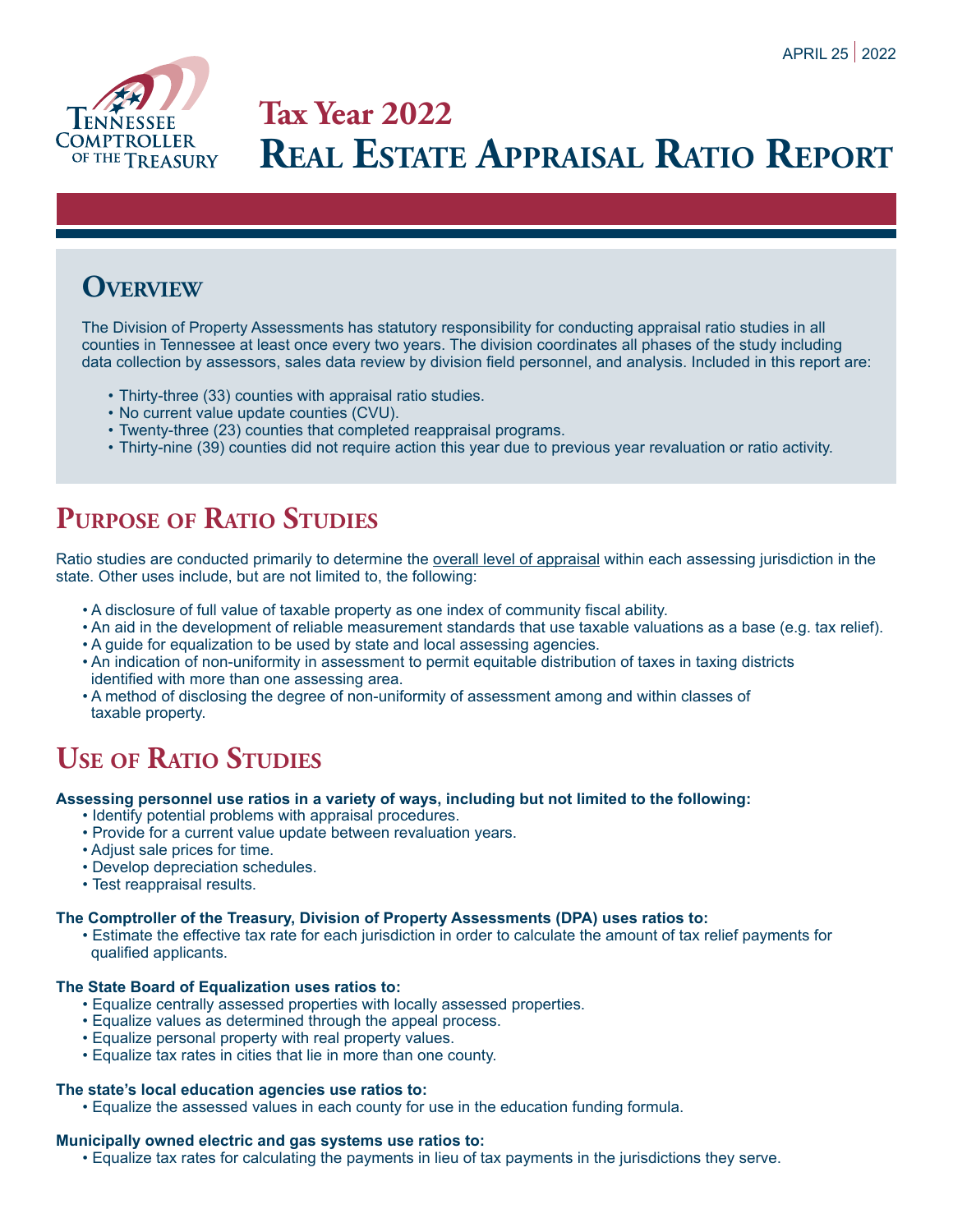

# **Tax Year 2022 Real Estate Appraisal Ratio Report**

### **Overview**

The Division of Property Assessments has statutory responsibility for conducting appraisal ratio studies in all counties in Tennessee at least once every two years. The division coordinates all phases of the study including data collection by assessors, sales data review by division field personnel, and analysis. Included in this report are:

- Thirty-three (33) counties with appraisal ratio studies.
- No current value update counties (CVU).
- Twenty-three (23) counties that completed reappraisal programs.
- Thirty-nine (39) counties did not require action this year due to previous year revaluation or ratio activity.

# **Purpose of Ratio Studies**

Ratio studies are conducted primarily to determine the overall level of appraisal within each assessing jurisdiction in the state. Other uses include, but are not limited to, the following:

- A disclosure of full value of taxable property as one index of community fiscal ability.
- An aid in the development of reliable measurement standards that use taxable valuations as a base (e.g. tax relief).
- A guide for equalization to be used by state and local assessing agencies.
- An indication of non-uniformity in assessment to permit equitable distribution of taxes in taxing districts identified with more than one assessing area.
- A method of disclosing the degree of non-uniformity of assessment among and within classes of taxable property.

### **Use of Ratio Studies**

#### **Assessing personnel use ratios in a variety of ways, including but not limited to the following:**

- Identify potential problems with appraisal procedures.
- Provide for a current value update between revaluation years.
- Adjust sale prices for time.
- Develop depreciation schedules.
- Test reappraisal results.

#### **The Comptroller of the Treasury, Division of Property Assessments (DPA) uses ratios to:**

• Estimate the effective tax rate for each jurisdiction in order to calculate the amount of tax relief payments for qualified applicants.

#### **The State Board of Equalization uses ratios to:**

- Equalize centrally assessed properties with locally assessed properties.
- Equalize values as determined through the appeal process.
- Equalize personal property with real property values.
- Equalize tax rates in cities that lie in more than one county.

#### **The state's local education agencies use ratios to:**

• Equalize the assessed values in each county for use in the education funding formula.

#### **Municipally owned electric and gas systems use ratios to:**

• Equalize tax rates for calculating the payments in lieu of tax payments in the jurisdictions they serve.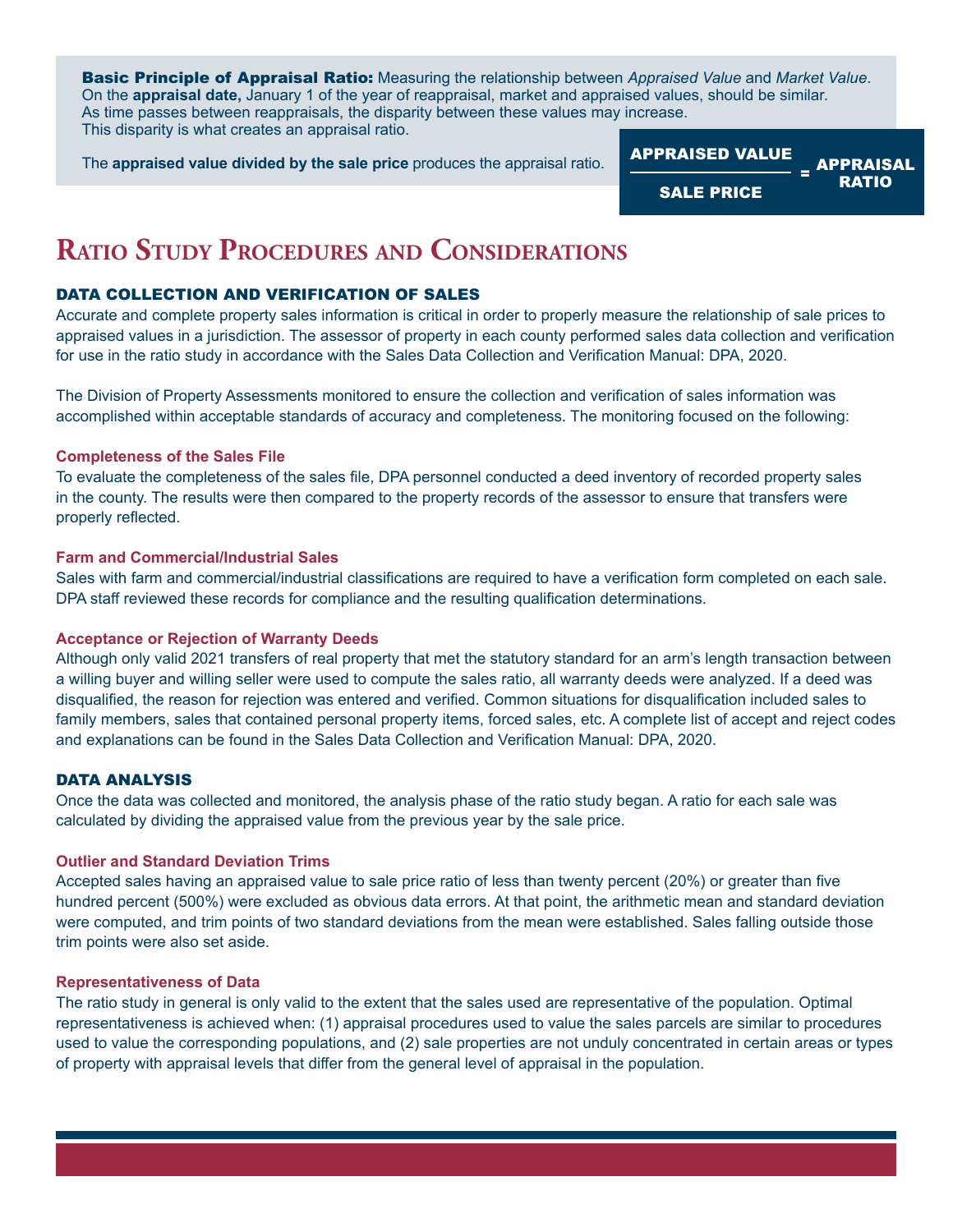Basic Principle of Appraisal Ratio: Measuring the relationship between *Appraised Value* and *Market Value*. On the **appraisal date,** January 1 of the year of reappraisal, market and appraised values, should be similar. As time passes between reappraisals, the disparity between these values may increase. This disparity is what creates an appraisal ratio.

The **appraised value divided by the sale price** produces the appraisal ratio. APPRAISED VALUE



### **Ratio Study Procedures and Considerations**

#### DATA COLLECTION AND VERIFICATION OF SALES

Accurate and complete property sales information is critical in order to properly measure the relationship of sale prices to appraised values in a jurisdiction. The assessor of property in each county performed sales data collection and verification for use in the ratio study in accordance with the Sales Data Collection and Verification Manual: DPA, 2020.

The Division of Property Assessments monitored to ensure the collection and verification of sales information was accomplished within acceptable standards of accuracy and completeness. The monitoring focused on the following:

#### **Completeness of the Sales File**

To evaluate the completeness of the sales file, DPA personnel conducted a deed inventory of recorded property sales in the county. The results were then compared to the property records of the assessor to ensure that transfers were properly reflected.

#### **Farm and Commercial/Industrial Sales**

Sales with farm and commercial/industrial classifications are required to have a verification form completed on each sale. DPA staff reviewed these records for compliance and the resulting qualification determinations.

#### **Acceptance or Rejection of Warranty Deeds**

Although only valid 2021 transfers of real property that met the statutory standard for an arm's length transaction between a willing buyer and willing seller were used to compute the sales ratio, all warranty deeds were analyzed. If a deed was disqualified, the reason for rejection was entered and verified. Common situations for disqualification included sales to family members, sales that contained personal property items, forced sales, etc. A complete list of accept and reject codes and explanations can be found in the Sales Data Collection and Verification Manual: DPA, 2020.

#### DATA ANALYSIS

Once the data was collected and monitored, the analysis phase of the ratio study began. A ratio for each sale was calculated by dividing the appraised value from the previous year by the sale price.

#### **Outlier and Standard Deviation Trims**

Accepted sales having an appraised value to sale price ratio of less than twenty percent (20%) or greater than five hundred percent (500%) were excluded as obvious data errors. At that point, the arithmetic mean and standard deviation were computed, and trim points of two standard deviations from the mean were established. Sales falling outside those trim points were also set aside.

#### **Representativeness of Data**

The ratio study in general is only valid to the extent that the sales used are representative of the population. Optimal representativeness is achieved when: (1) appraisal procedures used to value the sales parcels are similar to procedures used to value the corresponding populations, and (2) sale properties are not unduly concentrated in certain areas or types of property with appraisal levels that differ from the general level of appraisal in the population.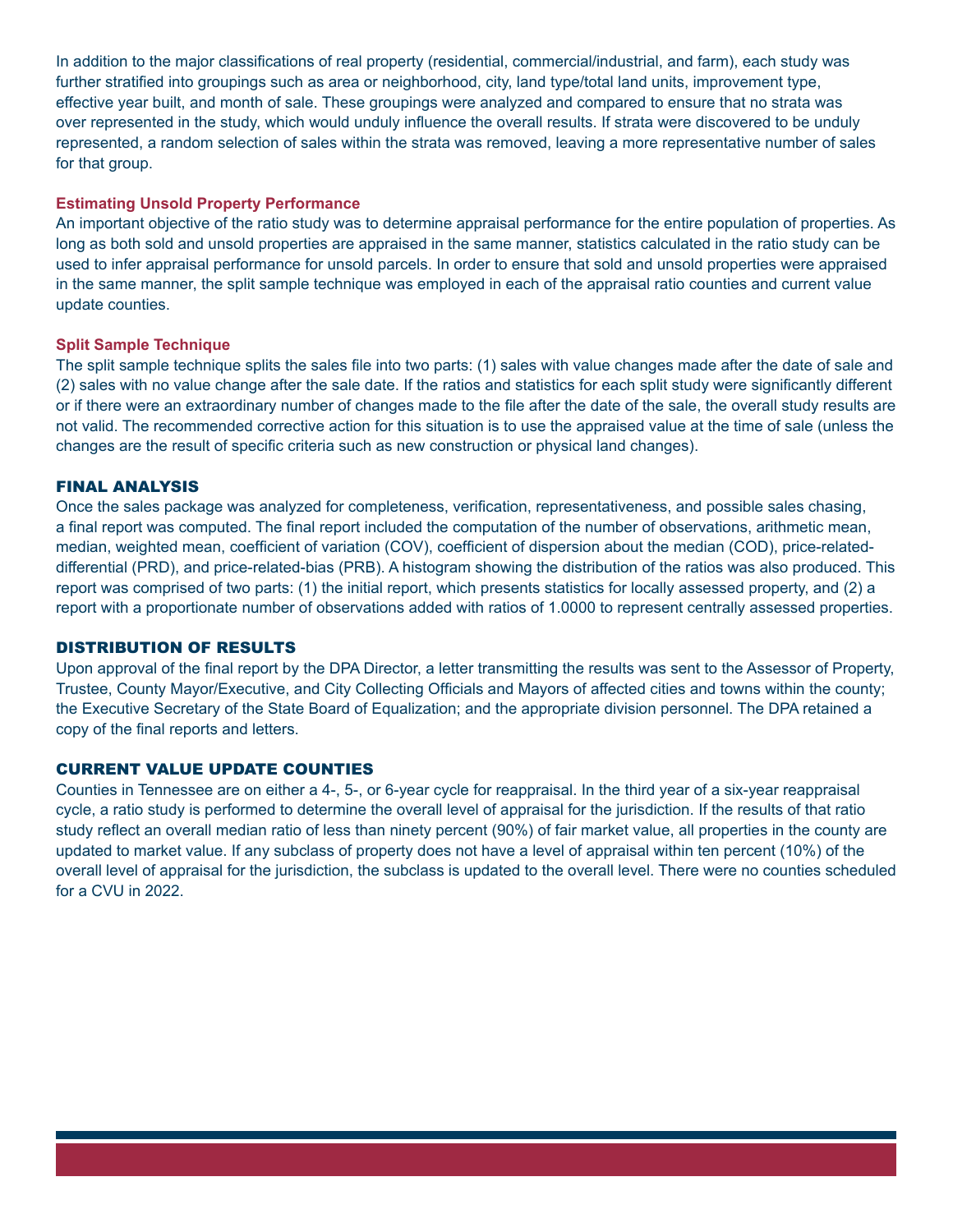In addition to the major classifications of real property (residential, commercial/industrial, and farm), each study was further stratified into groupings such as area or neighborhood, city, land type/total land units, improvement type, effective year built, and month of sale. These groupings were analyzed and compared to ensure that no strata was over represented in the study, which would unduly influence the overall results. If strata were discovered to be unduly represented, a random selection of sales within the strata was removed, leaving a more representative number of sales for that group.

#### **Estimating Unsold Property Performance**

An important objective of the ratio study was to determine appraisal performance for the entire population of properties. As long as both sold and unsold properties are appraised in the same manner, statistics calculated in the ratio study can be used to infer appraisal performance for unsold parcels. In order to ensure that sold and unsold properties were appraised in the same manner, the split sample technique was employed in each of the appraisal ratio counties and current value update counties.

#### **Split Sample Technique**

The split sample technique splits the sales file into two parts: (1) sales with value changes made after the date of sale and (2) sales with no value change after the sale date. If the ratios and statistics for each split study were significantly different or if there were an extraordinary number of changes made to the file after the date of the sale, the overall study results are not valid. The recommended corrective action for this situation is to use the appraised value at the time of sale (unless the changes are the result of specific criteria such as new construction or physical land changes).

#### FINAL ANALYSIS

Once the sales package was analyzed for completeness, verification, representativeness, and possible sales chasing, a final report was computed. The final report included the computation of the number of observations, arithmetic mean, median, weighted mean, coefficient of variation (COV), coefficient of dispersion about the median (COD), price-relateddifferential (PRD), and price-related-bias (PRB). A histogram showing the distribution of the ratios was also produced. This report was comprised of two parts: (1) the initial report, which presents statistics for locally assessed property, and (2) a report with a proportionate number of observations added with ratios of 1.0000 to represent centrally assessed properties.

#### DISTRIBUTION OF RESULTS

Upon approval of the final report by the DPA Director, a letter transmitting the results was sent to the Assessor of Property, Trustee, County Mayor/Executive, and City Collecting Officials and Mayors of affected cities and towns within the county; the Executive Secretary of the State Board of Equalization; and the appropriate division personnel. The DPA retained a copy of the final reports and letters.

#### CURRENT VALUE UPDATE COUNTIES

Counties in Tennessee are on either a 4-, 5-, or 6-year cycle for reappraisal. In the third year of a six-year reappraisal cycle, a ratio study is performed to determine the overall level of appraisal for the jurisdiction. If the results of that ratio study reflect an overall median ratio of less than ninety percent (90%) of fair market value, all properties in the county are updated to market value. If any subclass of property does not have a level of appraisal within ten percent (10%) of the overall level of appraisal for the jurisdiction, the subclass is updated to the overall level. There were no counties scheduled for a CVU in 2022.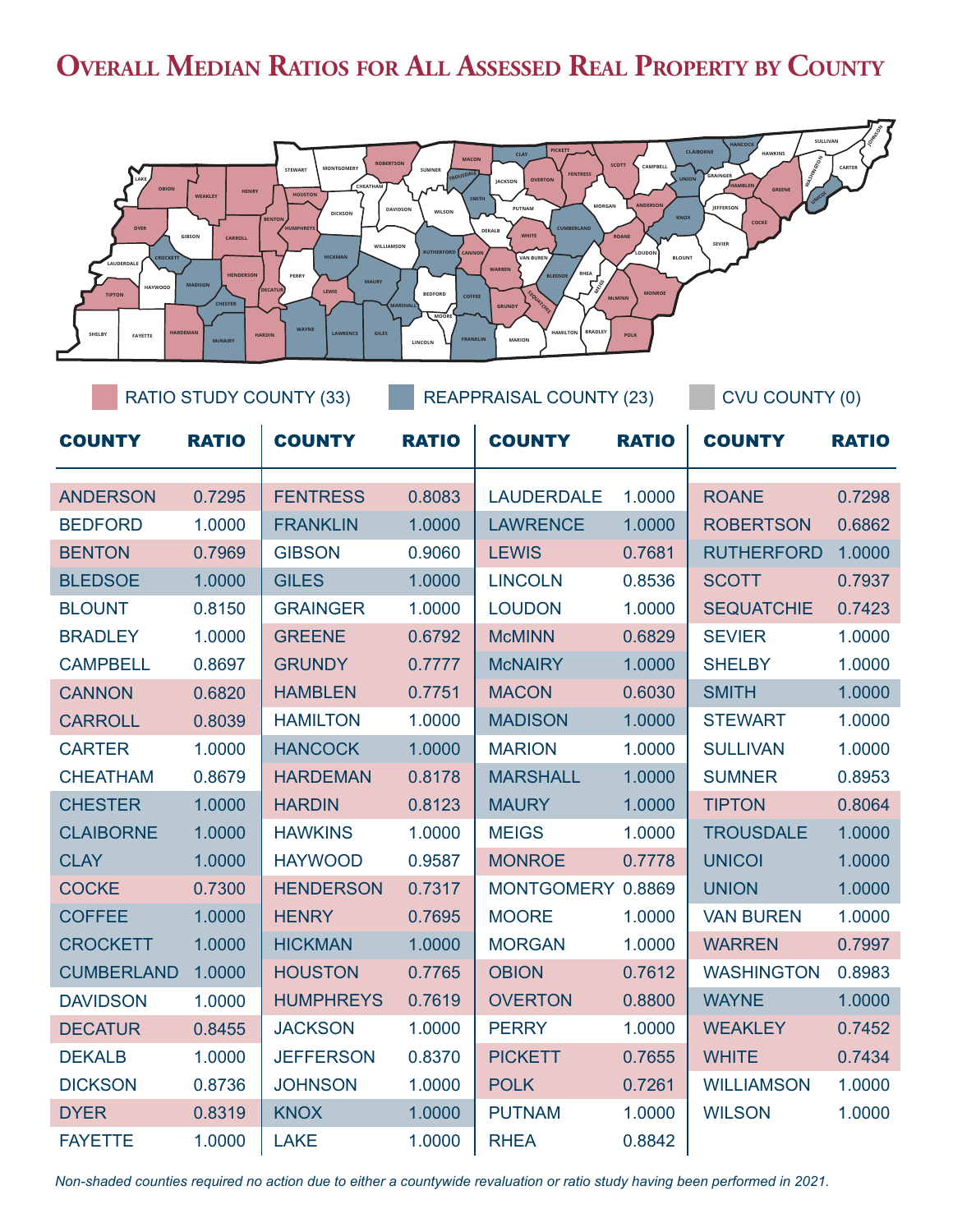# **Overall Median Ratios for All Assessed Real Property by County**



| RATIO STUDY COUNTY (33) |              |                  | <b>REAPPRAISAL COUNTY (23)</b> |                   |              | <b>CVU COUNTY (0)</b> |              |
|-------------------------|--------------|------------------|--------------------------------|-------------------|--------------|-----------------------|--------------|
| <b>COUNTY</b>           | <b>RATIO</b> | <b>COUNTY</b>    | <b>RATIO</b>                   | <b>COUNTY</b>     | <b>RATIO</b> | <b>COUNTY</b>         | <b>RATIO</b> |
| <b>ANDERSON</b>         | 0.7295       | <b>FENTRESS</b>  | 0.8083                         | <b>LAUDERDALE</b> | 1.0000       | <b>ROANE</b>          | 0.7298       |
| <b>BEDFORD</b>          | 1.0000       | <b>FRANKLIN</b>  | 1.0000                         | <b>LAWRENCE</b>   | 1.0000       | <b>ROBERTSON</b>      | 0.6862       |
| <b>BENTON</b>           | 0.7969       | <b>GIBSON</b>    | 0.9060                         | <b>LEWIS</b>      | 0.7681       | <b>RUTHERFORD</b>     | 1.0000       |
| <b>BLEDSOE</b>          | 1.0000       | <b>GILES</b>     | 1.0000                         | <b>LINCOLN</b>    | 0.8536       | <b>SCOTT</b>          | 0.7937       |
| <b>BLOUNT</b>           | 0.8150       | <b>GRAINGER</b>  | 1.0000                         | <b>LOUDON</b>     | 1.0000       | <b>SEQUATCHIE</b>     | 0.7423       |
| <b>BRADLEY</b>          | 1.0000       | <b>GREENE</b>    | 0.6792                         | <b>McMINN</b>     | 0.6829       | <b>SEVIER</b>         | 1.0000       |
| <b>CAMPBELL</b>         | 0.8697       | <b>GRUNDY</b>    | 0.7777                         | <b>McNAIRY</b>    | 1.0000       | <b>SHELBY</b>         | 1.0000       |
| <b>CANNON</b>           | 0.6820       | <b>HAMBLEN</b>   | 0.7751                         | <b>MACON</b>      | 0.6030       | <b>SMITH</b>          | 1.0000       |
| <b>CARROLL</b>          | 0.8039       | <b>HAMILTON</b>  | 1.0000                         | <b>MADISON</b>    | 1.0000       | <b>STEWART</b>        | 1.0000       |
| <b>CARTER</b>           | 1.0000       | <b>HANCOCK</b>   | 1.0000                         | <b>MARION</b>     | 1.0000       | <b>SULLIVAN</b>       | 1.0000       |
| <b>CHEATHAM</b>         | 0.8679       | <b>HARDEMAN</b>  | 0.8178                         | <b>MARSHALL</b>   | 1.0000       | <b>SUMNER</b>         | 0.8953       |
| <b>CHESTER</b>          | 1.0000       | <b>HARDIN</b>    | 0.8123                         | <b>MAURY</b>      | 1.0000       | <b>TIPTON</b>         | 0.8064       |
| <b>CLAIBORNE</b>        | 1.0000       | <b>HAWKINS</b>   | 1.0000                         | <b>MEIGS</b>      | 1.0000       | <b>TROUSDALE</b>      | 1.0000       |
| <b>CLAY</b>             | 1.0000       | <b>HAYWOOD</b>   | 0.9587                         | <b>MONROE</b>     | 0.7778       | <b>UNICOI</b>         | 1.0000       |
| <b>COCKE</b>            | 0.7300       | <b>HENDERSON</b> | 0.7317                         | MONTGOMERY 0.8869 |              | <b>UNION</b>          | 1.0000       |
| <b>COFFEE</b>           | 1.0000       | <b>HENRY</b>     | 0.7695                         | <b>MOORE</b>      | 1.0000       | <b>VAN BUREN</b>      | 1.0000       |
| <b>CROCKETT</b>         | 1.0000       | <b>HICKMAN</b>   | 1.0000                         | <b>MORGAN</b>     | 1.0000       | <b>WARREN</b>         | 0.7997       |
| <b>CUMBERLAND</b>       | 1.0000       | <b>HOUSTON</b>   | 0.7765                         | <b>OBION</b>      | 0.7612       | <b>WASHINGTON</b>     | 0.8983       |
| <b>DAVIDSON</b>         | 1.0000       | <b>HUMPHREYS</b> | 0.7619                         | <b>OVERTON</b>    | 0.8800       | <b>WAYNE</b>          | 1.0000       |
| <b>DECATUR</b>          | 0.8455       | <b>JACKSON</b>   | 1.0000                         | <b>PERRY</b>      | 1.0000       | <b>WEAKLEY</b>        | 0.7452       |
| <b>DEKALB</b>           | 1.0000       | <b>JEFFERSON</b> | 0.8370                         | <b>PICKETT</b>    | 0.7655       | <b>WHITE</b>          | 0.7434       |
| <b>DICKSON</b>          | 0.8736       | <b>JOHNSON</b>   | 1.0000                         | <b>POLK</b>       | 0.7261       | <b>WILLIAMSON</b>     | 1.0000       |
| <b>DYER</b>             | 0.8319       | <b>KNOX</b>      | 1.0000                         | <b>PUTNAM</b>     | 1.0000       | <b>WILSON</b>         | 1.0000       |
| <b>FAYETTE</b>          | 1.0000       | <b>LAKE</b>      | 1.0000                         | <b>RHEA</b>       | 0.8842       |                       |              |

*Non-shaded counties required no action due to either a countywide revaluation or ratio study having been performed in 2021.*